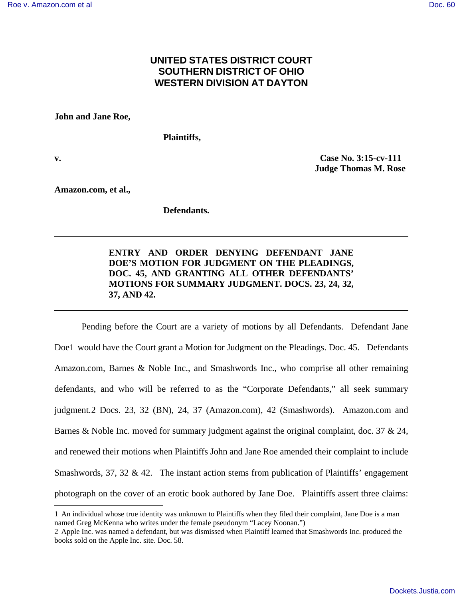# **UNITED STATES DISTRICT COURT SOUTHERN DISTRICT OF OHIO WESTERN DIVISION AT DAYTON**

**John and Jane Roe,** 

**Plaintiffs,** 

 $\overline{a}$ 

**v. Case No. 3:15-cv-111 Judge Thomas M. Rose** 

**Amazon.com, et al.,** 

**Defendants.** 

## **ENTRY AND ORDER DENYING DEFENDANT JANE DOE'S MOTION FOR JUDGMENT ON THE PLEADINGS, DOC. 45, AND GRANTING ALL OTHER DEFENDANTS' MOTIONS FOR SUMMARY JUDGMENT. DOCS. 23, 24, 32, 37, AND 42.**

Pending before the Court are a variety of motions by all Defendants. Defendant Jane Doe1 would have the Court grant a Motion for Judgment on the Pleadings. Doc. 45. Defendants Amazon.com, Barnes & Noble Inc., and Smashwords Inc., who comprise all other remaining defendants, and who will be referred to as the "Corporate Defendants," all seek summary judgment.2 Docs. 23, 32 (BN), 24, 37 (Amazon.com), 42 (Smashwords). Amazon.com and Barnes & Noble Inc. moved for summary judgment against the original complaint, doc. 37 & 24, and renewed their motions when Plaintiffs John and Jane Roe amended their complaint to include Smashwords, 37, 32  $\&$  42. The instant action stems from publication of Plaintiffs' engagement photograph on the cover of an erotic book authored by Jane Doe. Plaintiffs assert three claims:

<sup>1</sup> An individual whose true identity was unknown to Plaintiffs when they filed their complaint, Jane Doe is a man named Greg McKenna who writes under the female pseudonym "Lacey Noonan.")

<sup>2</sup> Apple Inc. was named a defendant, but was dismissed when Plaintiff learned that Smashwords Inc. produced the books sold on the Apple Inc. site. Doc. 58.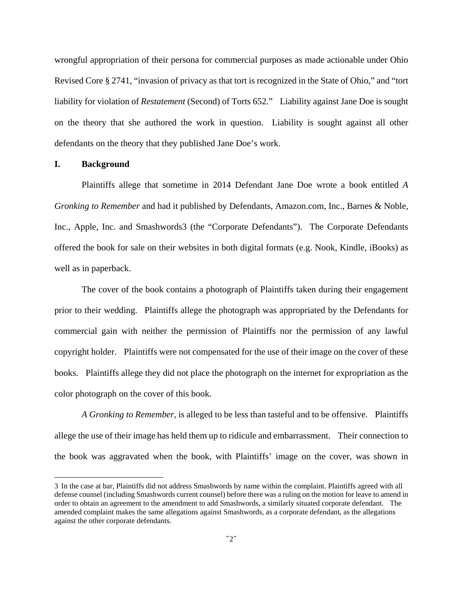wrongful appropriation of their persona for commercial purposes as made actionable under Ohio Revised Core § 2741, "invasion of privacy as that tort is recognized in the State of Ohio," and "tort liability for violation of *Restatement* (Second) of Torts 652." Liability against Jane Doe is sought on the theory that she authored the work in question. Liability is sought against all other defendants on the theory that they published Jane Doe's work.

#### **I. Background**

 $\overline{a}$ 

Plaintiffs allege that sometime in 2014 Defendant Jane Doe wrote a book entitled *A Gronking to Remember* and had it published by Defendants, Amazon.com, Inc., Barnes & Noble, Inc., Apple, Inc. and Smashwords3 (the "Corporate Defendants"). The Corporate Defendants offered the book for sale on their websites in both digital formats (e.g. Nook, Kindle, iBooks) as well as in paperback.

The cover of the book contains a photograph of Plaintiffs taken during their engagement prior to their wedding. Plaintiffs allege the photograph was appropriated by the Defendants for commercial gain with neither the permission of Plaintiffs nor the permission of any lawful copyright holder. Plaintiffs were not compensated for the use of their image on the cover of these books. Plaintiffs allege they did not place the photograph on the internet for expropriation as the color photograph on the cover of this book.

*A Gronking to Remember*, is alleged to be less than tasteful and to be offensive. Plaintiffs allege the use of their image has held them up to ridicule and embarrassment. Their connection to the book was aggravated when the book, with Plaintiffs' image on the cover, was shown in

<sup>3</sup> In the case at bar, Plaintiffs did not address Smashwords by name within the complaint. Plaintiffs agreed with all defense counsel (including Smashwords current counsel) before there was a ruling on the motion for leave to amend in order to obtain an agreement to the amendment to add Smashwords, a similarly situated corporate defendant. The amended complaint makes the same allegations against Smashwords, as a corporate defendant, as the allegations against the other corporate defendants.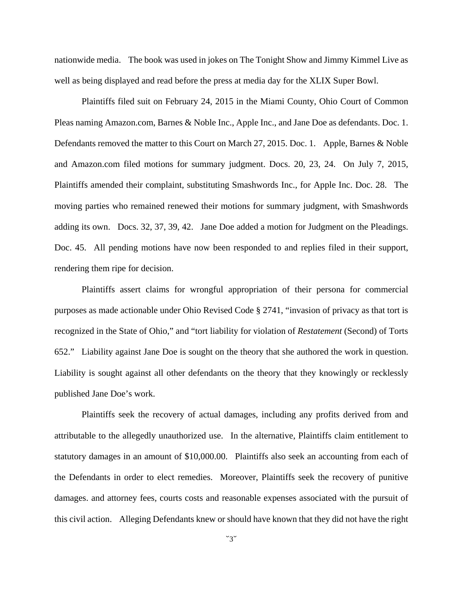nationwide media. The book was used in jokes on The Tonight Show and Jimmy Kimmel Live as well as being displayed and read before the press at media day for the XLIX Super Bowl.

Plaintiffs filed suit on February 24, 2015 in the Miami County, Ohio Court of Common Pleas naming Amazon.com, Barnes & Noble Inc., Apple Inc., and Jane Doe as defendants. Doc. 1. Defendants removed the matter to this Court on March 27, 2015. Doc. 1. Apple, Barnes & Noble and Amazon.com filed motions for summary judgment. Docs. 20, 23, 24. On July 7, 2015, Plaintiffs amended their complaint, substituting Smashwords Inc., for Apple Inc. Doc. 28. The moving parties who remained renewed their motions for summary judgment, with Smashwords adding its own. Docs. 32, 37, 39, 42. Jane Doe added a motion for Judgment on the Pleadings. Doc. 45. All pending motions have now been responded to and replies filed in their support, rendering them ripe for decision.

Plaintiffs assert claims for wrongful appropriation of their persona for commercial purposes as made actionable under Ohio Revised Code § 2741, "invasion of privacy as that tort is recognized in the State of Ohio," and "tort liability for violation of *Restatement* (Second) of Torts 652." Liability against Jane Doe is sought on the theory that she authored the work in question. Liability is sought against all other defendants on the theory that they knowingly or recklessly published Jane Doe's work.

Plaintiffs seek the recovery of actual damages, including any profits derived from and attributable to the allegedly unauthorized use. In the alternative, Plaintiffs claim entitlement to statutory damages in an amount of \$10,000.00. Plaintiffs also seek an accounting from each of the Defendants in order to elect remedies. Moreover, Plaintiffs seek the recovery of punitive damages. and attorney fees, courts costs and reasonable expenses associated with the pursuit of this civil action. Alleging Defendants knew or should have known that they did not have the right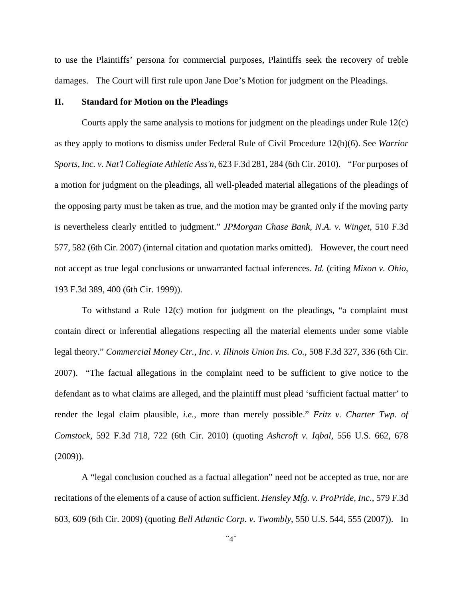to use the Plaintiffs' persona for commercial purposes, Plaintiffs seek the recovery of treble damages. The Court will first rule upon Jane Doe's Motion for judgment on the Pleadings.

#### **II. Standard for Motion on the Pleadings**

Courts apply the same analysis to motions for judgment on the pleadings under Rule 12(c) as they apply to motions to dismiss under Federal Rule of Civil Procedure 12(b)(6). See *Warrior Sports, Inc. v. Nat'l Collegiate Athletic Ass'n*, 623 F.3d 281, 284 (6th Cir. 2010). "For purposes of a motion for judgment on the pleadings, all well-pleaded material allegations of the pleadings of the opposing party must be taken as true, and the motion may be granted only if the moving party is nevertheless clearly entitled to judgment." *JPMorgan Chase Bank, N.A. v. Winget*, 510 F.3d 577, 582 (6th Cir. 2007) (internal citation and quotation marks omitted). However, the court need not accept as true legal conclusions or unwarranted factual inferences. *Id.* (citing *Mixon v. Ohio*, 193 F.3d 389, 400 (6th Cir. 1999)).

To withstand a Rule 12(c) motion for judgment on the pleadings, "a complaint must contain direct or inferential allegations respecting all the material elements under some viable legal theory." *Commercial Money Ctr., Inc. v. Illinois Union Ins. Co.*, 508 F.3d 327, 336 (6th Cir. 2007). "The factual allegations in the complaint need to be sufficient to give notice to the defendant as to what claims are alleged, and the plaintiff must plead 'sufficient factual matter' to render the legal claim plausible, *i.e.*, more than merely possible." *Fritz v. Charter Twp. of Comstock*, 592 F.3d 718, 722 (6th Cir. 2010) (quoting *Ashcroft v. Iqbal*, 556 U.S. 662, 678 (2009)).

A "legal conclusion couched as a factual allegation" need not be accepted as true, nor are recitations of the elements of a cause of action sufficient. *Hensley Mfg. v. ProPride, Inc.*, 579 F.3d 603, 609 (6th Cir. 2009) (quoting *Bell Atlantic Corp. v. Twombly*, 550 U.S. 544, 555 (2007)). In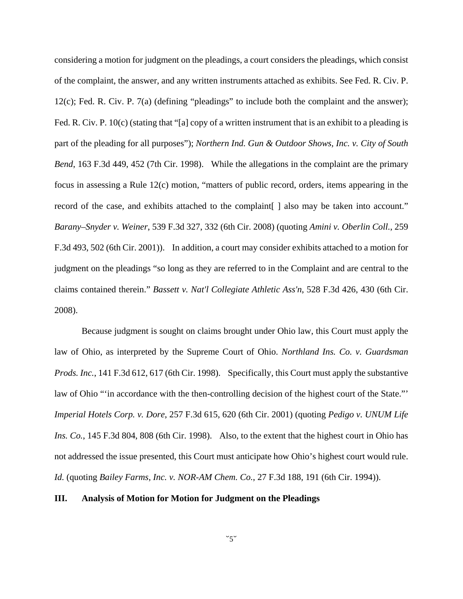considering a motion for judgment on the pleadings, a court considers the pleadings, which consist of the complaint, the answer, and any written instruments attached as exhibits. See Fed. R. Civ. P. 12(c); Fed. R. Civ. P. 7(a) (defining "pleadings" to include both the complaint and the answer); Fed. R. Civ. P. 10(c) (stating that "[a] copy of a written instrument that is an exhibit to a pleading is part of the pleading for all purposes"); *Northern Ind. Gun & Outdoor Shows, Inc. v. City of South Bend*, 163 F.3d 449, 452 (7th Cir. 1998). While the allegations in the complaint are the primary focus in assessing a Rule 12(c) motion, "matters of public record, orders, items appearing in the record of the case, and exhibits attached to the complaint [] also may be taken into account." *Barany–Snyder v. Weiner*, 539 F.3d 327, 332 (6th Cir. 2008) (quoting *Amini v. Oberlin Coll.*, 259 F.3d 493, 502 (6th Cir. 2001)). In addition, a court may consider exhibits attached to a motion for judgment on the pleadings "so long as they are referred to in the Complaint and are central to the claims contained therein." *Bassett v. Nat'l Collegiate Athletic Ass'n*, 528 F.3d 426, 430 (6th Cir. 2008).

Because judgment is sought on claims brought under Ohio law, this Court must apply the law of Ohio, as interpreted by the Supreme Court of Ohio. *Northland Ins. Co. v. Guardsman Prods. Inc.*, 141 F.3d 612, 617 (6th Cir. 1998). Specifically, this Court must apply the substantive law of Ohio "'in accordance with the then-controlling decision of the highest court of the State."' *Imperial Hotels Corp. v. Dore*, 257 F.3d 615, 620 (6th Cir. 2001) (quoting *Pedigo v. UNUM Life Ins. Co.*, 145 F.3d 804, 808 (6th Cir. 1998). Also, to the extent that the highest court in Ohio has not addressed the issue presented, this Court must anticipate how Ohio's highest court would rule. *Id.* (quoting *Bailey Farms, Inc. v. NOR-AM Chem. Co.*, 27 F.3d 188, 191 (6th Cir. 1994)).

#### **III. Analysis of Motion for Motion for Judgment on the Pleadings**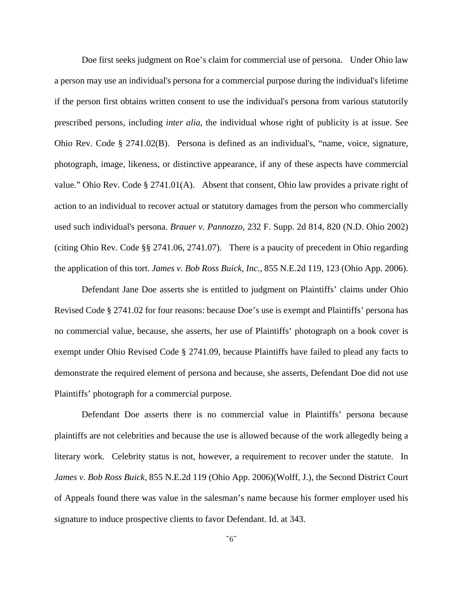Doe first seeks judgment on Roe's claim for commercial use of persona. Under Ohio law a person may use an individual's persona for a commercial purpose during the individual's lifetime if the person first obtains written consent to use the individual's persona from various statutorily prescribed persons, including *inter alia*, the individual whose right of publicity is at issue. See Ohio Rev. Code § 2741.02(B). Persona is defined as an individual's, "name, voice, signature, photograph, image, likeness, or distinctive appearance, if any of these aspects have commercial value." Ohio Rev. Code § 2741.01(A). Absent that consent, Ohio law provides a private right of action to an individual to recover actual or statutory damages from the person who commercially used such individual's persona. *Brauer v. Pannozzo*, 232 F. Supp. 2d 814, 820 (N.D. Ohio 2002) (citing Ohio Rev. Code §§ 2741.06, 2741.07). There is a paucity of precedent in Ohio regarding the application of this tort. *James v. Bob Ross Buick, Inc.*, 855 N.E.2d 119, 123 (Ohio App. 2006).

Defendant Jane Doe asserts she is entitled to judgment on Plaintiffs' claims under Ohio Revised Code § 2741.02 for four reasons: because Doe's use is exempt and Plaintiffs' persona has no commercial value, because, she asserts, her use of Plaintiffs' photograph on a book cover is exempt under Ohio Revised Code § 2741.09, because Plaintiffs have failed to plead any facts to demonstrate the required element of persona and because, she asserts, Defendant Doe did not use Plaintiffs' photograph for a commercial purpose.

Defendant Doe asserts there is no commercial value in Plaintiffs' persona because plaintiffs are not celebrities and because the use is allowed because of the work allegedly being a literary work. Celebrity status is not, however, a requirement to recover under the statute. In *James v. Bob Ross Buick*, 855 N.E.2d 119 (Ohio App. 2006)(Wolff, J.), the Second District Court of Appeals found there was value in the salesman's name because his former employer used his signature to induce prospective clients to favor Defendant. Id. at 343.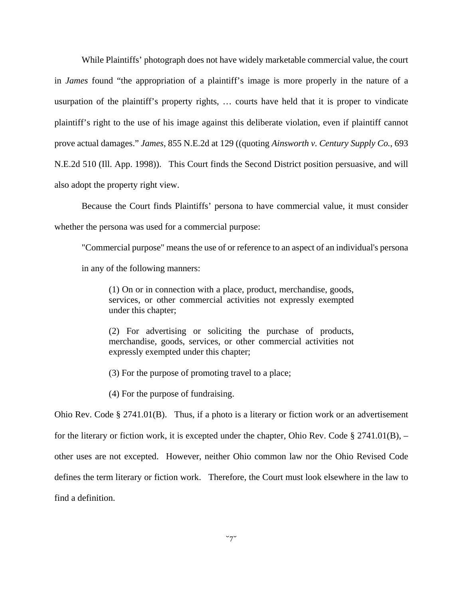While Plaintiffs' photograph does not have widely marketable commercial value, the court in *James* found "the appropriation of a plaintiff's image is more properly in the nature of a usurpation of the plaintiff's property rights, … courts have held that it is proper to vindicate plaintiff's right to the use of his image against this deliberate violation, even if plaintiff cannot prove actual damages." *James*, 855 N.E.2d at 129 ((quoting *Ainsworth v. Century Supply Co.*, 693 N.E.2d 510 (Ill. App. 1998)). This Court finds the Second District position persuasive, and will also adopt the property right view.

 Because the Court finds Plaintiffs' persona to have commercial value, it must consider whether the persona was used for a commercial purpose:

"Commercial purpose" means the use of or reference to an aspect of an individual's persona in any of the following manners:

(1) On or in connection with a place, product, merchandise, goods, services, or other commercial activities not expressly exempted under this chapter;

(2) For advertising or soliciting the purchase of products, merchandise, goods, services, or other commercial activities not expressly exempted under this chapter;

(3) For the purpose of promoting travel to a place;

(4) For the purpose of fundraising.

Ohio Rev. Code § 2741.01(B). Thus, if a photo is a literary or fiction work or an advertisement for the literary or fiction work, it is excepted under the chapter, Ohio Rev. Code  $\S 2741.01(B)$ , – other uses are not excepted. However, neither Ohio common law nor the Ohio Revised Code defines the term literary or fiction work. Therefore, the Court must look elsewhere in the law to find a definition.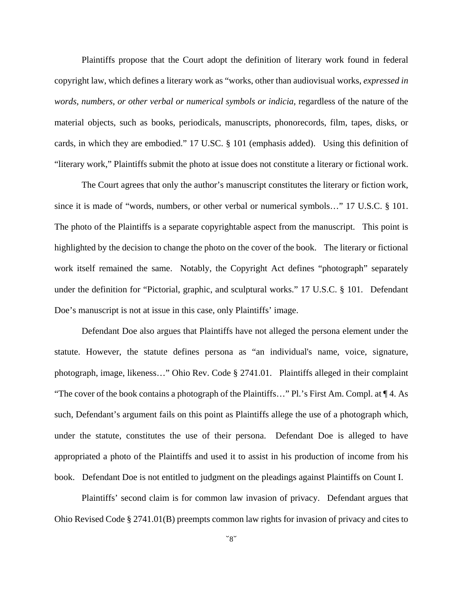Plaintiffs propose that the Court adopt the definition of literary work found in federal copyright law, which defines a literary work as "works, other than audiovisual works, *expressed in words, numbers, or other verbal or numerical symbols or indicia*, regardless of the nature of the material objects, such as books, periodicals, manuscripts, phonorecords, film, tapes, disks, or cards, in which they are embodied." 17 U.SC. § 101 (emphasis added). Using this definition of "literary work," Plaintiffs submit the photo at issue does not constitute a literary or fictional work.

The Court agrees that only the author's manuscript constitutes the literary or fiction work, since it is made of "words, numbers, or other verbal or numerical symbols…" 17 U.S.C. § 101. The photo of the Plaintiffs is a separate copyrightable aspect from the manuscript. This point is highlighted by the decision to change the photo on the cover of the book. The literary or fictional work itself remained the same. Notably, the Copyright Act defines "photograph" separately under the definition for "Pictorial, graphic, and sculptural works." 17 U.S.C. § 101. Defendant Doe's manuscript is not at issue in this case, only Plaintiffs' image.

Defendant Doe also argues that Plaintiffs have not alleged the persona element under the statute. However, the statute defines persona as "an individual's name, voice, signature, photograph, image, likeness…" Ohio Rev. Code § 2741.01. Plaintiffs alleged in their complaint "The cover of the book contains a photograph of the Plaintiffs…" Pl.'s First Am. Compl. at ¶ 4. As such, Defendant's argument fails on this point as Plaintiffs allege the use of a photograph which, under the statute, constitutes the use of their persona. Defendant Doe is alleged to have appropriated a photo of the Plaintiffs and used it to assist in his production of income from his book. Defendant Doe is not entitled to judgment on the pleadings against Plaintiffs on Count I.

 Plaintiffs' second claim is for common law invasion of privacy. Defendant argues that Ohio Revised Code § 2741.01(B) preempts common law rights for invasion of privacy and cites to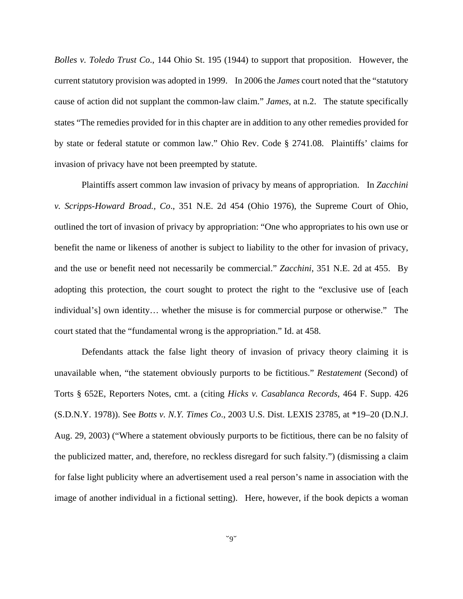*Bolles v. Toledo Trust Co*., 144 Ohio St. 195 (1944) to support that proposition. However, the current statutory provision was adopted in 1999. In 2006 the *James* court noted that the "statutory cause of action did not supplant the common-law claim." *James*, at n.2. The statute specifically states "The remedies provided for in this chapter are in addition to any other remedies provided for by state or federal statute or common law." Ohio Rev. Code § 2741.08. Plaintiffs' claims for invasion of privacy have not been preempted by statute.

Plaintiffs assert common law invasion of privacy by means of appropriation. In *Zacchini v. Scripps-Howard Broad., Co*., 351 N.E. 2d 454 (Ohio 1976), the Supreme Court of Ohio, outlined the tort of invasion of privacy by appropriation: "One who appropriates to his own use or benefit the name or likeness of another is subject to liability to the other for invasion of privacy, and the use or benefit need not necessarily be commercial." *Zacchini*, 351 N.E. 2d at 455. By adopting this protection, the court sought to protect the right to the "exclusive use of [each individual's] own identity… whether the misuse is for commercial purpose or otherwise." The court stated that the "fundamental wrong is the appropriation." Id. at 458.

Defendants attack the false light theory of invasion of privacy theory claiming it is unavailable when, "the statement obviously purports to be fictitious." *Restatement* (Second) of Torts § 652E, Reporters Notes, cmt. a (citing *Hicks v. Casablanca Records*, 464 F. Supp. 426 (S.D.N.Y. 1978)). See *Botts v. N.Y. Times Co*., 2003 U.S. Dist. LEXIS 23785, at \*19–20 (D.N.J. Aug. 29, 2003) ("Where a statement obviously purports to be fictitious, there can be no falsity of the publicized matter, and, therefore, no reckless disregard for such falsity.") (dismissing a claim for false light publicity where an advertisement used a real person's name in association with the image of another individual in a fictional setting). Here, however, if the book depicts a woman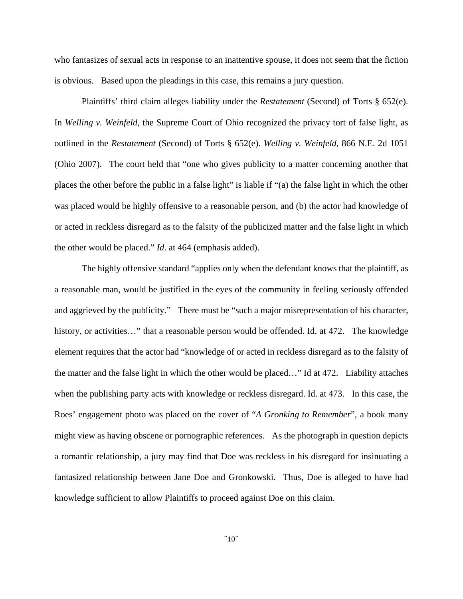who fantasizes of sexual acts in response to an inattentive spouse, it does not seem that the fiction is obvious. Based upon the pleadings in this case, this remains a jury question.

Plaintiffs' third claim alleges liability under the *Restatement* (Second) of Torts § 652(e). In *Welling v. Weinfeld*, the Supreme Court of Ohio recognized the privacy tort of false light, as outlined in the *Restatement* (Second) of Torts § 652(e). *Welling v. Weinfeld*, 866 N.E. 2d 1051 (Ohio 2007). The court held that "one who gives publicity to a matter concerning another that places the other before the public in a false light" is liable if "(a) the false light in which the other was placed would be highly offensive to a reasonable person, and (b) the actor had knowledge of or acted in reckless disregard as to the falsity of the publicized matter and the false light in which the other would be placed." *Id*. at 464 (emphasis added).

The highly offensive standard "applies only when the defendant knows that the plaintiff, as a reasonable man, would be justified in the eyes of the community in feeling seriously offended and aggrieved by the publicity." There must be "such a major misrepresentation of his character, history, or activities..." that a reasonable person would be offended. Id. at 472. The knowledge element requires that the actor had "knowledge of or acted in reckless disregard as to the falsity of the matter and the false light in which the other would be placed…" Id at 472. Liability attaches when the publishing party acts with knowledge or reckless disregard. Id. at 473. In this case, the Roes' engagement photo was placed on the cover of "*A Gronking to Remember*", a book many might view as having obscene or pornographic references. As the photograph in question depicts a romantic relationship, a jury may find that Doe was reckless in his disregard for insinuating a fantasized relationship between Jane Doe and Gronkowski. Thus, Doe is alleged to have had knowledge sufficient to allow Plaintiffs to proceed against Doe on this claim.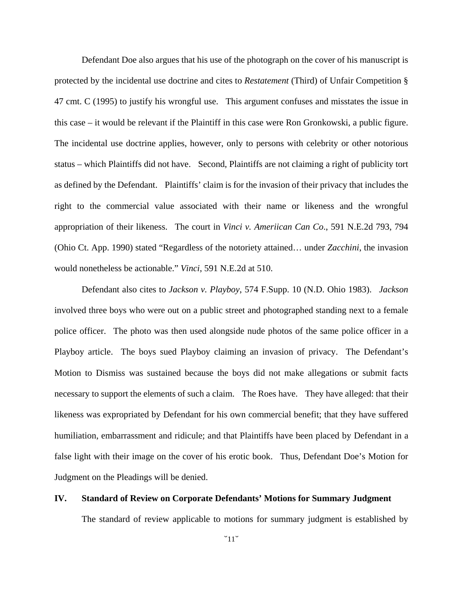Defendant Doe also argues that his use of the photograph on the cover of his manuscript is protected by the incidental use doctrine and cites to *Restatement* (Third) of Unfair Competition § 47 cmt. C (1995) to justify his wrongful use. This argument confuses and misstates the issue in this case – it would be relevant if the Plaintiff in this case were Ron Gronkowski, a public figure. The incidental use doctrine applies, however, only to persons with celebrity or other notorious status – which Plaintiffs did not have. Second, Plaintiffs are not claiming a right of publicity tort as defined by the Defendant. Plaintiffs' claim is for the invasion of their privacy that includes the right to the commercial value associated with their name or likeness and the wrongful appropriation of their likeness. The court in *Vinci v. Ameriican Can Co*., 591 N.E.2d 793, 794 (Ohio Ct. App. 1990) stated "Regardless of the notoriety attained… under *Zacchini*, the invasion would nonetheless be actionable." *Vinci*, 591 N.E.2d at 510.

Defendant also cites to *Jackson v. Playboy*, 574 F.Supp. 10 (N.D. Ohio 1983). *Jackson* involved three boys who were out on a public street and photographed standing next to a female police officer. The photo was then used alongside nude photos of the same police officer in a Playboy article. The boys sued Playboy claiming an invasion of privacy. The Defendant's Motion to Dismiss was sustained because the boys did not make allegations or submit facts necessary to support the elements of such a claim. The Roes have. They have alleged: that their likeness was expropriated by Defendant for his own commercial benefit; that they have suffered humiliation, embarrassment and ridicule; and that Plaintiffs have been placed by Defendant in a false light with their image on the cover of his erotic book. Thus, Defendant Doe's Motion for Judgment on the Pleadings will be denied.

#### **IV. Standard of Review on Corporate Defendants' Motions for Summary Judgment**

The standard of review applicable to motions for summary judgment is established by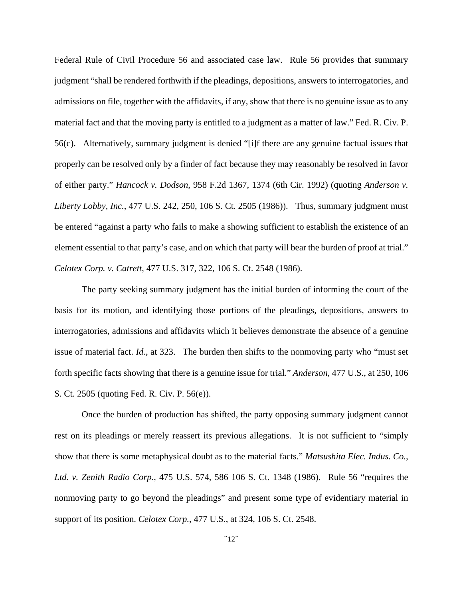Federal Rule of Civil Procedure 56 and associated case law. Rule 56 provides that summary judgment "shall be rendered forthwith if the pleadings, depositions, answers to interrogatories, and admissions on file, together with the affidavits, if any, show that there is no genuine issue as to any material fact and that the moving party is entitled to a judgment as a matter of law." Fed. R. Civ. P. 56(c). Alternatively, summary judgment is denied "[i]f there are any genuine factual issues that properly can be resolved only by a finder of fact because they may reasonably be resolved in favor of either party." *Hancock v. Dodson*, 958 F.2d 1367, 1374 (6th Cir. 1992) (quoting *Anderson v. Liberty Lobby, Inc.*, 477 U.S. 242, 250, 106 S. Ct. 2505 (1986)). Thus, summary judgment must be entered "against a party who fails to make a showing sufficient to establish the existence of an element essential to that party's case, and on which that party will bear the burden of proof at trial." *Celotex Corp. v. Catrett*, 477 U.S. 317, 322, 106 S. Ct. 2548 (1986).

 The party seeking summary judgment has the initial burden of informing the court of the basis for its motion, and identifying those portions of the pleadings, depositions, answers to interrogatories, admissions and affidavits which it believes demonstrate the absence of a genuine issue of material fact. *Id.*, at 323. The burden then shifts to the nonmoving party who "must set forth specific facts showing that there is a genuine issue for trial." *Anderson*, 477 U.S., at 250, 106 S. Ct. 2505 (quoting Fed. R. Civ. P. 56(e)).

 Once the burden of production has shifted, the party opposing summary judgment cannot rest on its pleadings or merely reassert its previous allegations. It is not sufficient to "simply show that there is some metaphysical doubt as to the material facts." *Matsushita Elec. Indus. Co., Ltd. v. Zenith Radio Corp.*, 475 U.S. 574, 586 106 S. Ct. 1348 (1986). Rule 56 "requires the nonmoving party to go beyond the pleadings" and present some type of evidentiary material in support of its position. *Celotex Corp.*, 477 U.S., at 324, 106 S. Ct. 2548.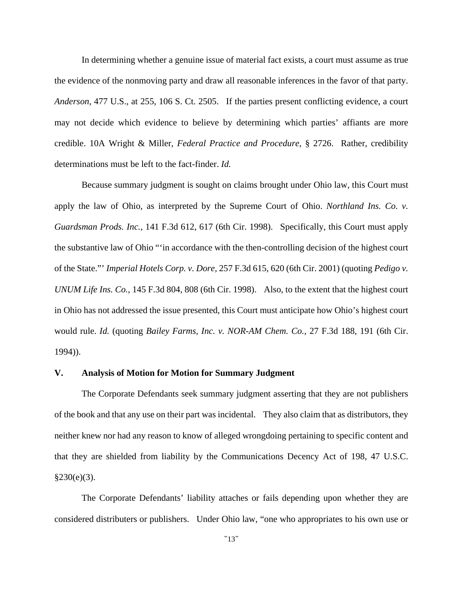In determining whether a genuine issue of material fact exists, a court must assume as true the evidence of the nonmoving party and draw all reasonable inferences in the favor of that party. *Anderson*, 477 U.S., at 255, 106 S. Ct. 2505. If the parties present conflicting evidence, a court may not decide which evidence to believe by determining which parties' affiants are more credible. 10A Wright & Miller, *Federal Practice and Procedure*, § 2726. Rather, credibility determinations must be left to the fact-finder. *Id.*

Because summary judgment is sought on claims brought under Ohio law, this Court must apply the law of Ohio, as interpreted by the Supreme Court of Ohio. *Northland Ins. Co. v. Guardsman Prods. Inc.*, 141 F.3d 612, 617 (6th Cir. 1998). Specifically, this Court must apply the substantive law of Ohio "'in accordance with the then-controlling decision of the highest court of the State."' *Imperial Hotels Corp. v. Dore*, 257 F.3d 615, 620 (6th Cir. 2001) (quoting *Pedigo v. UNUM Life Ins. Co.*, 145 F.3d 804, 808 (6th Cir. 1998). Also, to the extent that the highest court in Ohio has not addressed the issue presented, this Court must anticipate how Ohio's highest court would rule. *Id.* (quoting *Bailey Farms, Inc. v. NOR-AM Chem. Co.*, 27 F.3d 188, 191 (6th Cir. 1994)).

#### **V. Analysis of Motion for Motion for Summary Judgment**

The Corporate Defendants seek summary judgment asserting that they are not publishers of the book and that any use on their part was incidental. They also claim that as distributors, they neither knew nor had any reason to know of alleged wrongdoing pertaining to specific content and that they are shielded from liability by the Communications Decency Act of 198, 47 U.S.C.  $§230(e)(3)$ .

The Corporate Defendants' liability attaches or fails depending upon whether they are considered distributers or publishers. Under Ohio law, "one who appropriates to his own use or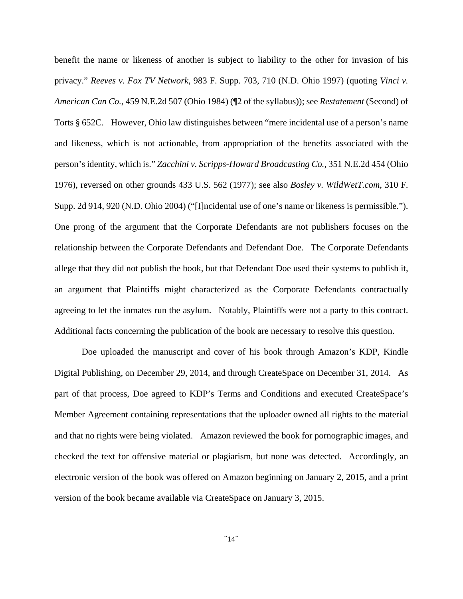benefit the name or likeness of another is subject to liability to the other for invasion of his privacy." *Reeves v. Fox TV Network*, 983 F. Supp. 703, 710 (N.D. Ohio 1997) (quoting *Vinci v. American Can Co.*, 459 N.E.2d 507 (Ohio 1984) (¶2 of the syllabus)); see *Restatement* (Second) of Torts § 652C. However, Ohio law distinguishes between "mere incidental use of a person's name and likeness, which is not actionable, from appropriation of the benefits associated with the person's identity, which is." *Zacchini v. Scripps-Howard Broadcasting Co.*, 351 N.E.2d 454 (Ohio 1976), reversed on other grounds 433 U.S. 562 (1977); see also *Bosley v. WildWetT.com*, 310 F. Supp. 2d 914, 920 (N.D. Ohio 2004) ("[I]ncidental use of one's name or likeness is permissible."). One prong of the argument that the Corporate Defendants are not publishers focuses on the relationship between the Corporate Defendants and Defendant Doe. The Corporate Defendants allege that they did not publish the book, but that Defendant Doe used their systems to publish it, an argument that Plaintiffs might characterized as the Corporate Defendants contractually agreeing to let the inmates run the asylum. Notably, Plaintiffs were not a party to this contract. Additional facts concerning the publication of the book are necessary to resolve this question.

Doe uploaded the manuscript and cover of his book through Amazon's KDP, Kindle Digital Publishing, on December 29, 2014, and through CreateSpace on December 31, 2014. As part of that process, Doe agreed to KDP's Terms and Conditions and executed CreateSpace's Member Agreement containing representations that the uploader owned all rights to the material and that no rights were being violated. Amazon reviewed the book for pornographic images, and checked the text for offensive material or plagiarism, but none was detected. Accordingly, an electronic version of the book was offered on Amazon beginning on January 2, 2015, and a print version of the book became available via CreateSpace on January 3, 2015.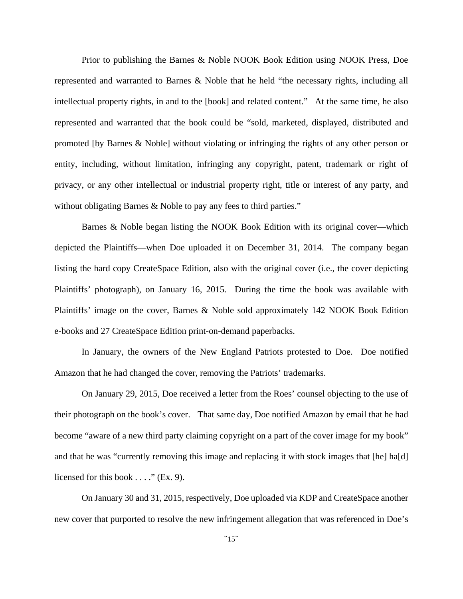Prior to publishing the Barnes & Noble NOOK Book Edition using NOOK Press, Doe represented and warranted to Barnes & Noble that he held "the necessary rights, including all intellectual property rights, in and to the [book] and related content." At the same time, he also represented and warranted that the book could be "sold, marketed, displayed, distributed and promoted [by Barnes & Noble] without violating or infringing the rights of any other person or entity, including, without limitation, infringing any copyright, patent, trademark or right of privacy, or any other intellectual or industrial property right, title or interest of any party, and without obligating Barnes & Noble to pay any fees to third parties."

Barnes & Noble began listing the NOOK Book Edition with its original cover—which depicted the Plaintiffs—when Doe uploaded it on December 31, 2014. The company began listing the hard copy CreateSpace Edition, also with the original cover (i.e., the cover depicting Plaintiffs' photograph), on January 16, 2015. During the time the book was available with Plaintiffs' image on the cover, Barnes & Noble sold approximately 142 NOOK Book Edition e-books and 27 CreateSpace Edition print-on-demand paperbacks.

In January, the owners of the New England Patriots protested to Doe. Doe notified Amazon that he had changed the cover, removing the Patriots' trademarks.

On January 29, 2015, Doe received a letter from the Roes' counsel objecting to the use of their photograph on the book's cover. That same day, Doe notified Amazon by email that he had become "aware of a new third party claiming copyright on a part of the cover image for my book" and that he was "currently removing this image and replacing it with stock images that [he] ha[d] licensed for this book  $\dots$ ." (Ex. 9).

On January 30 and 31, 2015, respectively, Doe uploaded via KDP and CreateSpace another new cover that purported to resolve the new infringement allegation that was referenced in Doe's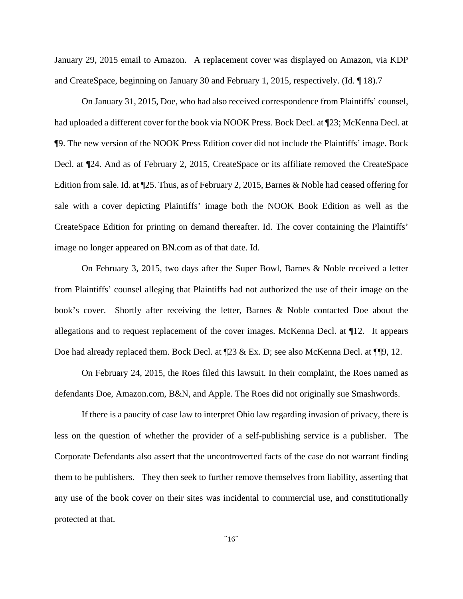January 29, 2015 email to Amazon. A replacement cover was displayed on Amazon, via KDP and CreateSpace, beginning on January 30 and February 1, 2015, respectively. (Id. ¶ 18).7

On January 31, 2015, Doe, who had also received correspondence from Plaintiffs' counsel, had uploaded a different cover for the book via NOOK Press. Bock Decl. at ¶23; McKenna Decl. at ¶9. The new version of the NOOK Press Edition cover did not include the Plaintiffs' image. Bock Decl. at ¶24. And as of February 2, 2015, CreateSpace or its affiliate removed the CreateSpace Edition from sale. Id. at ¶25. Thus, as of February 2, 2015, Barnes & Noble had ceased offering for sale with a cover depicting Plaintiffs' image both the NOOK Book Edition as well as the CreateSpace Edition for printing on demand thereafter. Id. The cover containing the Plaintiffs' image no longer appeared on BN.com as of that date. Id.

On February 3, 2015, two days after the Super Bowl, Barnes & Noble received a letter from Plaintiffs' counsel alleging that Plaintiffs had not authorized the use of their image on the book's cover. Shortly after receiving the letter, Barnes & Noble contacted Doe about the allegations and to request replacement of the cover images. McKenna Decl. at ¶12. It appears Doe had already replaced them. Bock Decl. at  $\mathbb{Z}3 \& \text{Ex}$ . D; see also McKenna Decl. at  $\P$ [9, 12.

On February 24, 2015, the Roes filed this lawsuit. In their complaint, the Roes named as defendants Doe, Amazon.com, B&N, and Apple. The Roes did not originally sue Smashwords.

If there is a paucity of case law to interpret Ohio law regarding invasion of privacy, there is less on the question of whether the provider of a self-publishing service is a publisher. The Corporate Defendants also assert that the uncontroverted facts of the case do not warrant finding them to be publishers. They then seek to further remove themselves from liability, asserting that any use of the book cover on their sites was incidental to commercial use, and constitutionally protected at that.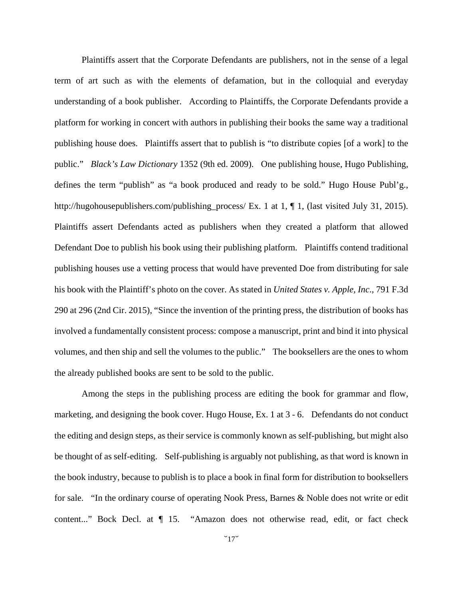Plaintiffs assert that the Corporate Defendants are publishers, not in the sense of a legal term of art such as with the elements of defamation, but in the colloquial and everyday understanding of a book publisher. According to Plaintiffs, the Corporate Defendants provide a platform for working in concert with authors in publishing their books the same way a traditional publishing house does. Plaintiffs assert that to publish is "to distribute copies [of a work] to the public." *Black's Law Dictionary* 1352 (9th ed. 2009). One publishing house, Hugo Publishing, defines the term "publish" as "a book produced and ready to be sold." Hugo House Publ'g., http://hugohousepublishers.com/publishing\_process/ Ex. 1 at 1, ¶ 1, (last visited July 31, 2015). Plaintiffs assert Defendants acted as publishers when they created a platform that allowed Defendant Doe to publish his book using their publishing platform. Plaintiffs contend traditional publishing houses use a vetting process that would have prevented Doe from distributing for sale his book with the Plaintiff's photo on the cover. As stated in *United States v. Apple, Inc*., 791 F.3d 290 at 296 (2nd Cir. 2015), "Since the invention of the printing press, the distribution of books has involved a fundamentally consistent process: compose a manuscript, print and bind it into physical volumes, and then ship and sell the volumes to the public." The booksellers are the ones to whom the already published books are sent to be sold to the public.

Among the steps in the publishing process are editing the book for grammar and flow, marketing, and designing the book cover. Hugo House, Ex. 1 at 3 - 6. Defendants do not conduct the editing and design steps, as their service is commonly known as self-publishing, but might also be thought of as self-editing. Self-publishing is arguably not publishing, as that word is known in the book industry, because to publish is to place a book in final form for distribution to booksellers for sale. "In the ordinary course of operating Nook Press, Barnes & Noble does not write or edit content..." Bock Decl. at  $\P$  15. "Amazon does not otherwise read, edit, or fact check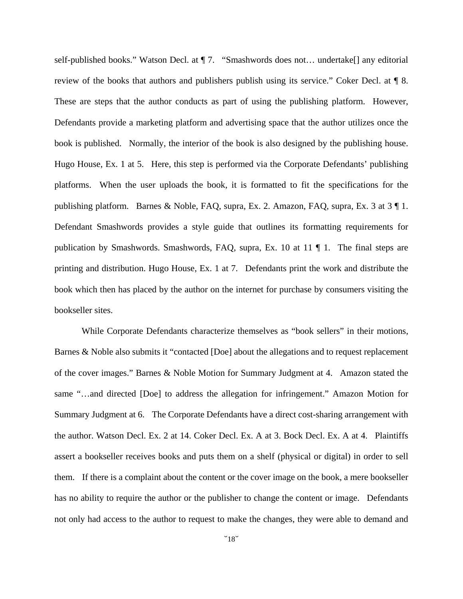self-published books." Watson Decl. at ¶ 7. "Smashwords does not… undertake[] any editorial review of the books that authors and publishers publish using its service." Coker Decl. at ¶ 8. These are steps that the author conducts as part of using the publishing platform. However, Defendants provide a marketing platform and advertising space that the author utilizes once the book is published. Normally, the interior of the book is also designed by the publishing house. Hugo House, Ex. 1 at 5. Here, this step is performed via the Corporate Defendants' publishing platforms. When the user uploads the book, it is formatted to fit the specifications for the publishing platform. Barnes & Noble, FAQ, supra, Ex. 2. Amazon, FAQ, supra, Ex. 3 at 3 ¶ 1. Defendant Smashwords provides a style guide that outlines its formatting requirements for publication by Smashwords. Smashwords, FAQ, supra, Ex. 10 at 11 ¶ 1. The final steps are printing and distribution. Hugo House, Ex. 1 at 7. Defendants print the work and distribute the book which then has placed by the author on the internet for purchase by consumers visiting the bookseller sites.

While Corporate Defendants characterize themselves as "book sellers" in their motions, Barnes & Noble also submits it "contacted [Doe] about the allegations and to request replacement of the cover images." Barnes & Noble Motion for Summary Judgment at 4. Amazon stated the same "…and directed [Doe] to address the allegation for infringement." Amazon Motion for Summary Judgment at 6. The Corporate Defendants have a direct cost-sharing arrangement with the author. Watson Decl. Ex. 2 at 14. Coker Decl. Ex. A at 3. Bock Decl. Ex. A at 4. Plaintiffs assert a bookseller receives books and puts them on a shelf (physical or digital) in order to sell them. If there is a complaint about the content or the cover image on the book, a mere bookseller has no ability to require the author or the publisher to change the content or image. Defendants not only had access to the author to request to make the changes, they were able to demand and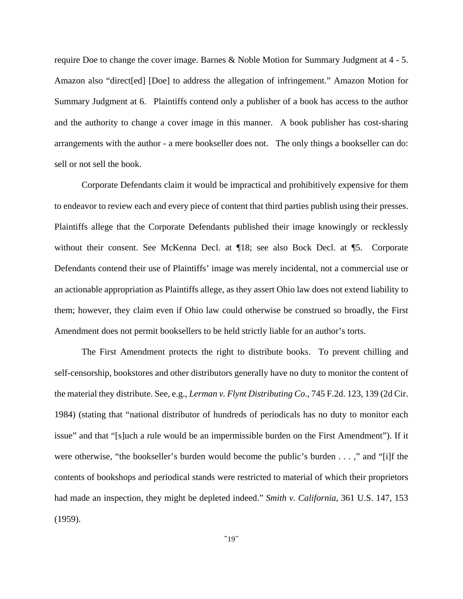require Doe to change the cover image. Barnes & Noble Motion for Summary Judgment at 4 - 5. Amazon also "direct[ed] [Doe] to address the allegation of infringement." Amazon Motion for Summary Judgment at 6. Plaintiffs contend only a publisher of a book has access to the author and the authority to change a cover image in this manner. A book publisher has cost-sharing arrangements with the author - a mere bookseller does not. The only things a bookseller can do: sell or not sell the book.

Corporate Defendants claim it would be impractical and prohibitively expensive for them to endeavor to review each and every piece of content that third parties publish using their presses. Plaintiffs allege that the Corporate Defendants published their image knowingly or recklessly without their consent. See McKenna Decl. at ¶18; see also Bock Decl. at ¶5. Corporate Defendants contend their use of Plaintiffs' image was merely incidental, not a commercial use or an actionable appropriation as Plaintiffs allege, as they assert Ohio law does not extend liability to them; however, they claim even if Ohio law could otherwise be construed so broadly, the First Amendment does not permit booksellers to be held strictly liable for an author's torts.

The First Amendment protects the right to distribute books. To prevent chilling and self-censorship, bookstores and other distributors generally have no duty to monitor the content of the material they distribute. See, e.g., *Lerman v. Flynt Distributing Co.*, 745 F.2d. 123, 139 (2d Cir. 1984) (stating that "national distributor of hundreds of periodicals has no duty to monitor each issue" and that "[s]uch a rule would be an impermissible burden on the First Amendment"). If it were otherwise, "the bookseller's burden would become the public's burden . . . ," and "[i]f the contents of bookshops and periodical stands were restricted to material of which their proprietors had made an inspection, they might be depleted indeed." *Smith v. California*, 361 U.S. 147, 153 (1959).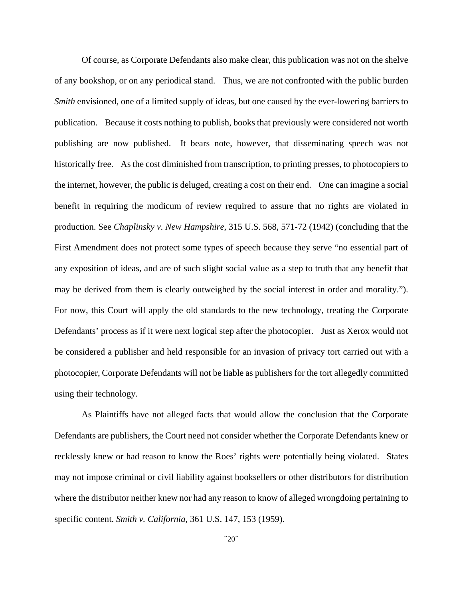Of course, as Corporate Defendants also make clear, this publication was not on the shelve of any bookshop, or on any periodical stand. Thus, we are not confronted with the public burden *Smith* envisioned, one of a limited supply of ideas, but one caused by the ever-lowering barriers to publication. Because it costs nothing to publish, books that previously were considered not worth publishing are now published. It bears note, however, that disseminating speech was not historically free. As the cost diminished from transcription, to printing presses, to photocopiers to the internet, however, the public is deluged, creating a cost on their end. One can imagine a social benefit in requiring the modicum of review required to assure that no rights are violated in production. See *Chaplinsky v. New Hampshire*, 315 U.S. 568, 571-72 (1942) (concluding that the First Amendment does not protect some types of speech because they serve "no essential part of any exposition of ideas, and are of such slight social value as a step to truth that any benefit that may be derived from them is clearly outweighed by the social interest in order and morality."). For now, this Court will apply the old standards to the new technology, treating the Corporate Defendants' process as if it were next logical step after the photocopier. Just as Xerox would not be considered a publisher and held responsible for an invasion of privacy tort carried out with a photocopier, Corporate Defendants will not be liable as publishers for the tort allegedly committed using their technology.

As Plaintiffs have not alleged facts that would allow the conclusion that the Corporate Defendants are publishers, the Court need not consider whether the Corporate Defendants knew or recklessly knew or had reason to know the Roes' rights were potentially being violated. States may not impose criminal or civil liability against booksellers or other distributors for distribution where the distributor neither knew nor had any reason to know of alleged wrongdoing pertaining to specific content. *Smith v. California*, 361 U.S. 147, 153 (1959).